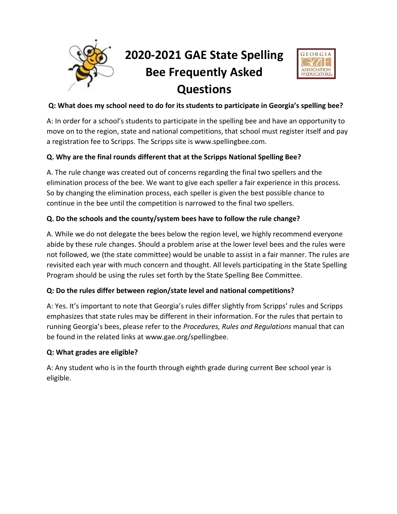

# **2020-2021 GAE State Spelling Bee Frequently Asked Questions**



### **Q: What does my school need to do for its students to participate in Georgia's spelling bee?**

A: In order for a school's students to participate in the spelling bee and have an opportunity to move on to the region, state and national competitions, that school must register itself and pay a registration fee to Scripps. The Scripps site is www.spellingbee.com.

## **Q. Why are the final rounds different that at the Scripps National Spelling Bee?**

A. The rule change was created out of concerns regarding the final two spellers and the elimination process of the bee. We want to give each speller a fair experience in this process. So by changing the elimination process, each speller is given the best possible chance to continue in the bee until the competition is narrowed to the final two spellers.

### **Q. Do the schools and the county/system bees have to follow the rule change?**

A. While we do not delegate the bees below the region level, we highly recommend everyone abide by these rule changes. Should a problem arise at the lower level bees and the rules were not followed, we (the state committee) would be unable to assist in a fair manner. The rules are revisited each year with much concern and thought. All levels participating in the State Spelling Program should be using the rules set forth by the State Spelling Bee Committee.

### **Q: Do the rules differ between region/state level and national competitions?**

A: Yes. It's important to note that Georgia's rules differ slightly from Scripps' rules and Scripps emphasizes that state rules may be different in their information. For the rules that pertain to running Georgia's bees, please refer to the *Procedures, Rules and Regulations* manual that can be found in the related links at www.gae.org/spellingbee.

#### **Q: What grades are eligible?**

A: Any student who is in the fourth through eighth grade during current Bee school year is eligible.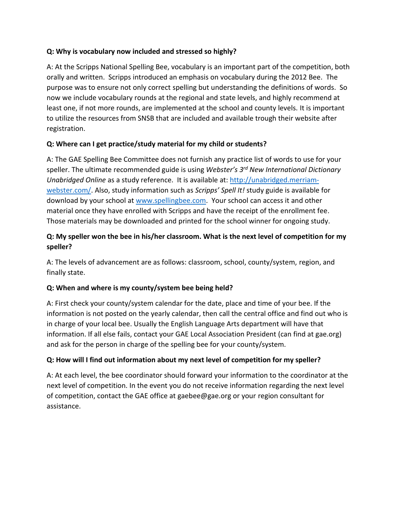#### **Q: Why is vocabulary now included and stressed so highly?**

A: At the Scripps National Spelling Bee, vocabulary is an important part of the competition, both orally and written. Scripps introduced an emphasis on vocabulary during the 2012 Bee. The purpose was to ensure not only correct spelling but understanding the definitions of words. So now we include vocabulary rounds at the regional and state levels, and highly recommend at least one, if not more rounds, are implemented at the school and county levels. It is important to utilize the resources from SNSB that are included and available trough their website after registration.

### **Q: Where can I get practice/study material for my child or students?**

A: The GAE Spelling Bee Committee does not furnish any practice list of words to use for your speller. The ultimate recommended guide is using *Webster's 3 rd New International Dictionary Unabridged Online* as a study reference. It is available at: [http://unabridged.merriam](http://unabridged.merriam-webster.com/)[webster.com/.](http://unabridged.merriam-webster.com/) Also, study information such as *Scripps' Spell It!* study guide is available for download by your school at [www.spellingbee.com.](http://www.spellingbee.com/) Your school can access it and other material once they have enrolled with Scripps and have the receipt of the enrollment fee. Those materials may be downloaded and printed for the school winner for ongoing study.

## **Q: My speller won the bee in his/her classroom. What is the next level of competition for my speller?**

A: The levels of advancement are as follows: classroom, school, county/system, region, and finally state.

### **Q: When and where is my county/system bee being held?**

A: First check your county/system calendar for the date, place and time of your bee. If the information is not posted on the yearly calendar, then call the central office and find out who is in charge of your local bee. Usually the English Language Arts department will have that information. If all else fails, contact your GAE Local Association President (can find at gae.org) and ask for the person in charge of the spelling bee for your county/system.

### **Q: How will I find out information about my next level of competition for my speller?**

A: At each level, the bee coordinator should forward your information to the coordinator at the next level of competition. In the event you do not receive information regarding the next level of competition, contact the GAE office at gaebee@gae.org or your region consultant for assistance.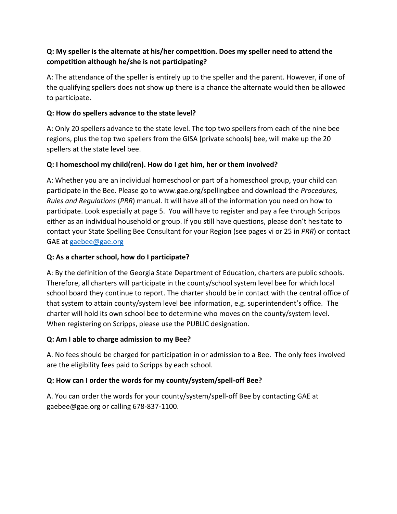## **Q: My speller is the alternate at his/her competition. Does my speller need to attend the competition although he/she is not participating?**

A: The attendance of the speller is entirely up to the speller and the parent. However, if one of the qualifying spellers does not show up there is a chance the alternate would then be allowed to participate.

#### **Q: How do spellers advance to the state level?**

A: Only 20 spellers advance to the state level. The top two spellers from each of the nine bee regions, plus the top two spellers from the GISA [private schools] bee, will make up the 20 spellers at the state level bee.

#### **Q: I homeschool my child(ren). How do I get him, her or them involved?**

A: Whether you are an individual homeschool or part of a homeschool group, your child can participate in the Bee. Please go to www.gae.org/spellingbee and download the *Procedures, Rules and Regulations* (*PRR*) manual. It will have all of the information you need on how to participate. Look especially at page 5. You will have to register and pay a fee through Scripps either as an individual household or group. If you still have questions, please don't hesitate to contact your State Spelling Bee Consultant for your Region (see pages vi or 25 in *PRR*) or contact GAE at [gaebee@gae.org](mailto:gaebee@gae.org)

#### **Q: As a charter school, how do I participate?**

A: By the definition of the Georgia State Department of Education, charters are public schools. Therefore, all charters will participate in the county/school system level bee for which local school board they continue to report. The charter should be in contact with the central office of that system to attain county/system level bee information, e.g. superintendent's office. The charter will hold its own school bee to determine who moves on the county/system level. When registering on Scripps, please use the PUBLIC designation.

#### **Q: Am I able to charge admission to my Bee?**

A. No fees should be charged for participation in or admission to a Bee. The only fees involved are the eligibility fees paid to Scripps by each school.

#### **Q: How can I order the words for my county/system/spell-off Bee?**

A. You can order the words for your county/system/spell-off Bee by contacting GAE at gaebee@gae.org or calling 678-837-1100.